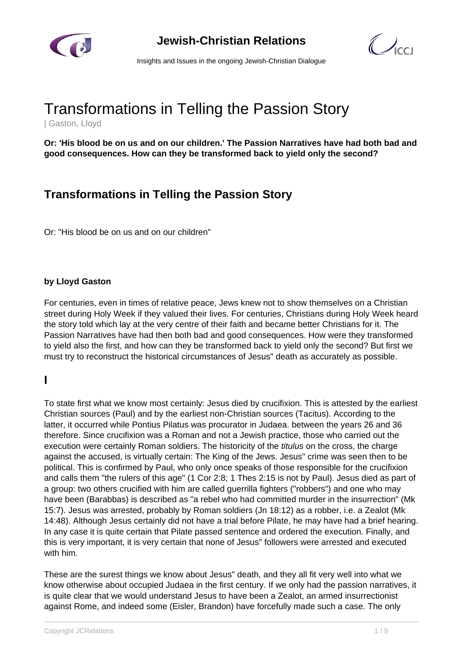

**Jewish-Christian Relations**



Insights and Issues in the ongoing Jewish-Christian Dialogue

# Transformations in Telling the Passion Story

| Gaston, Lloyd

**Or: 'His blood be on us and on our children.' The Passion Narratives have had both bad and good consequences. How can they be transformed back to yield only the second?**

# **Transformations in Telling the Passion Story**

Or: "His blood be on us and on our children"

#### **by Lloyd Gaston**

For centuries, even in times of relative peace, Jews knew not to show themselves on a Christian street during Holy Week if they valued their lives. For centuries, Christians during Holy Week heard the story told which lay at the very centre of their faith and became better Christians for it. The Passion Narratives have had then both bad and good consequences. How were they transformed to yield also the first, and how can they be transformed back to yield only the second? But first we must try to reconstruct the historical circumstances of Jesus" death as accurately as possible.

#### **I**

To state first what we know most certainly: Jesus died by crucifixion. This is attested by the earliest Christian sources (Paul) and by the earliest non-Christian sources (Tacitus). According to the latter, it occurred while Pontius Pilatus was procurator in Judaea. between the years 26 and 36 therefore. Since crucifixion was a Roman and not a Jewish practice, those who carried out the execution were certainly Roman soldiers. The historicity of the *titulus* on the cross, the charge against the accused, is virtually certain: The King of the Jews. Jesus" crime was seen then to be political. This is confirmed by Paul, who only once speaks of those responsible for the crucifixion and calls them "the rulers of this age" (1 Cor 2:8; 1 Thes 2:15 is not by Paul). Jesus died as part of a group: two others crucified with him are called guerrilla fighters ("robbers") and one who may have been (Barabbas) is described as "a rebel who had committed murder in the insurrection" (Mk 15:7). Jesus was arrested, probably by Roman soldiers (Jn 18:12) as a robber, i.e. a Zealot (Mk 14:48). Although Jesus certainly did not have a trial before Pilate, he may have had a brief hearing. In any case it is quite certain that Pilate passed sentence and ordered the execution. Finally, and this is very important, it is very certain that none of Jesus" followers were arrested and executed with him.

These are the surest things we know about Jesus" death, and they all fit very well into what we know otherwise about occupied Judaea in the first century. If we only had the passion narratives, it is quite clear that we would understand Jesus to have been a Zealot, an armed insurrectionist against Rome, and indeed some (Eisler, Brandon) have forcefully made such a case. The only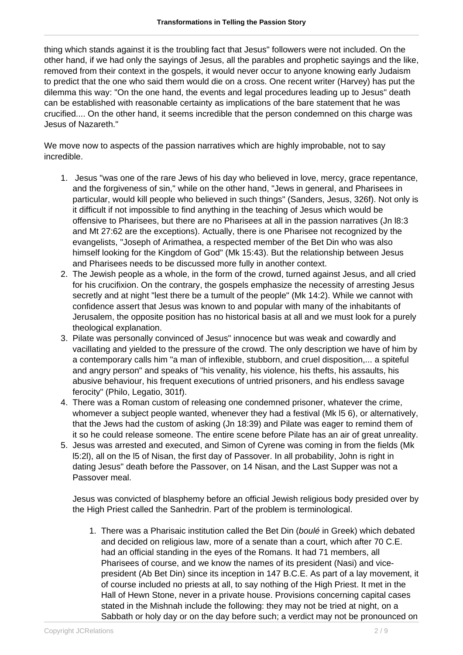thing which stands against it is the troubling fact that Jesus" followers were not included. On the other hand, if we had only the sayings of Jesus, all the parables and prophetic sayings and the like, removed from their context in the gospels, it would never occur to anyone knowing early Judaism to predict that the one who said them would die on a cross. One recent writer (Harvey) has put the dilemma this way: "On the one hand, the events and legal procedures leading up to Jesus" death can be established with reasonable certainty as implications of the bare statement that he was crucified.... On the other hand, it seems incredible that the person condemned on this charge was Jesus of Nazareth."

We move now to aspects of the passion narratives which are highly improbable, not to say incredible.

- 1. Jesus "was one of the rare Jews of his day who believed in love, mercy, grace repentance, and the forgiveness of sin," while on the other hand, "Jews in general, and Pharisees in particular, would kill people who believed in such things" (Sanders, Jesus, 326f). Not only is it difficult if not impossible to find anything in the teaching of Jesus which would be offensive to Pharisees, but there are no Pharisees at all in the passion narratives (Jn l8:3 and Mt 27:62 are the exceptions). Actually, there is one Pharisee not recognized by the evangelists, "Joseph of Arimathea, a respected member of the Bet Din who was also himself looking for the Kingdom of God" (Mk 15:43). But the relationship between Jesus and Pharisees needs to be discussed more fully in another context.
- 2. The Jewish people as a whole, in the form of the crowd, turned against Jesus, and all cried for his crucifixion. On the contrary, the gospels emphasize the necessity of arresting Jesus secretly and at night "lest there be a tumult of the people" (Mk 14:2). While we cannot with confidence assert that Jesus was known to and popular with many of the inhabitants of Jerusalem, the opposite position has no historical basis at all and we must look for a purely theological explanation.
- 3. Pilate was personally convinced of Jesus" innocence but was weak and cowardly and vacillating and yielded to the pressure of the crowd. The only description we have of him by a contemporary calls him "a man of inflexible, stubborn, and cruel disposition,... a spiteful and angry person" and speaks of "his venality, his violence, his thefts, his assaults, his abusive behaviour, his frequent executions of untried prisoners, and his endless savage ferocity" (Philo, Legatio, 301f).
- 4. There was a Roman custom of releasing one condemned prisoner, whatever the crime, whomever a subject people wanted, whenever they had a festival (Mk l5 6), or alternatively, that the Jews had the custom of asking (Jn 18:39) and Pilate was eager to remind them of it so he could release someone. The entire scene before Pilate has an air of great unreality.
- 5. Jesus was arrested and executed, and Simon of Cyrene was coming in from the fields (Mk l5:2l), all on the l5 of Nisan, the first day of Passover. In all probability, John is right in dating Jesus" death before the Passover, on 14 Nisan, and the Last Supper was not a Passover meal.

Jesus was convicted of blasphemy before an official Jewish religious body presided over by the High Priest called the Sanhedrin. Part of the problem is terminological.

1. There was a Pharisaic institution called the Bet Din (boulé in Greek) which debated and decided on religious law, more of a senate than a court, which after 70 C.E. had an official standing in the eyes of the Romans. It had 71 members, all Pharisees of course, and we know the names of its president (Nasi) and vicepresident (Ab Bet Din) since its inception in 147 B.C.E. As part of a lay movement, it of course included no priests at all, to say nothing of the High Priest. It met in the Hall of Hewn Stone, never in a private house. Provisions concerning capital cases stated in the Mishnah include the following: they may not be tried at night, on a Sabbath or holy day or on the day before such; a verdict may not be pronounced on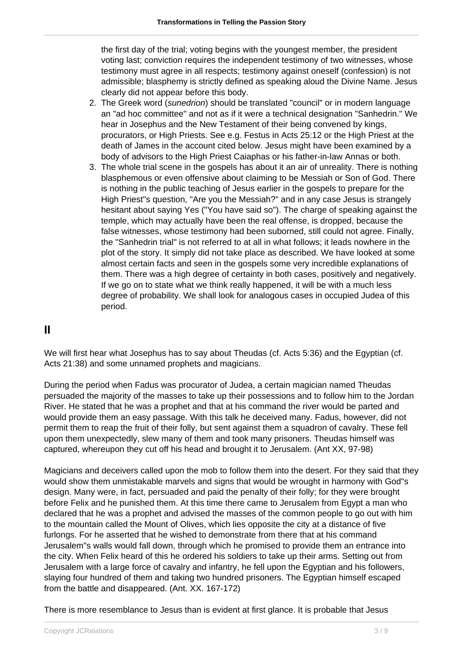the first day of the trial; voting begins with the youngest member, the president voting last; conviction requires the independent testimony of two witnesses, whose testimony must agree in all respects; testimony against oneself (confession) is not admissible; blasphemy is strictly defined as speaking aloud the Divine Name. Jesus clearly did not appear before this body.

- 2. The Greek word (sunedrion) should be translated "council" or in modern language an "ad hoc committee" and not as if it were a technical designation "Sanhedrin." We hear in Josephus and the New Testament of their being convened by kings, procurators, or High Priests. See e.g. Festus in Acts 25:12 or the High Priest at the death of James in the account cited below. Jesus might have been examined by a body of advisors to the High Priest Caiaphas or his father-in-law Annas or both.
- 3. The whole trial scene in the gospels has about it an air of unreality. There is nothing blasphemous or even offensive about claiming to be Messiah or Son of God. There is nothing in the public teaching of Jesus earlier in the gospels to prepare for the High Priest"s question, "Are you the Messiah?" and in any case Jesus is strangely hesitant about saying Yes ("You have said so"). The charge of speaking against the temple, which may actually have been the real offense, is dropped, because the false witnesses, whose testimony had been suborned, still could not agree. Finally, the "Sanhedrin trial" is not referred to at all in what follows; it leads nowhere in the plot of the story. It simply did not take place as described. We have looked at some almost certain facts and seen in the gospels some very incredible explanations of them. There was a high degree of certainty in both cases, positively and negatively. If we go on to state what we think really happened, it will be with a much less degree of probability. We shall look for analogous cases in occupied Judea of this period.

#### **II**

We will first hear what Josephus has to say about Theudas (cf. Acts 5:36) and the Egyptian (cf. Acts 21:38) and some unnamed prophets and magicians.

During the period when Fadus was procurator of Judea, a certain magician named Theudas persuaded the majority of the masses to take up their possessions and to follow him to the Jordan River. He stated that he was a prophet and that at his command the river would be parted and would provide them an easy passage. With this talk he deceived many. Fadus, however, did not permit them to reap the fruit of their folly, but sent against them a squadron of cavalry. These fell upon them unexpectedly, slew many of them and took many prisoners. Theudas himself was captured, whereupon they cut off his head and brought it to Jerusalem. (Ant XX, 97-98)

Magicians and deceivers called upon the mob to follow them into the desert. For they said that they would show them unmistakable marvels and signs that would be wrought in harmony with God"s design. Many were, in fact, persuaded and paid the penalty of their folly; for they were brought before Felix and he punished them. At this time there came to Jerusalem from Egypt a man who declared that he was a prophet and advised the masses of the common people to go out with him to the mountain called the Mount of Olives, which lies opposite the city at a distance of five furlongs. For he asserted that he wished to demonstrate from there that at his command Jerusalem"s walls would fall down, through which he promised to provide them an entrance into the city. When Felix heard of this he ordered his soldiers to take up their arms. Setting out from Jerusalem with a large force of cavalry and infantry, he fell upon the Egyptian and his followers, slaying four hundred of them and taking two hundred prisoners. The Egyptian himself escaped from the battle and disappeared. (Ant. XX. 167-172)

There is more resemblance to Jesus than is evident at first glance. It is probable that Jesus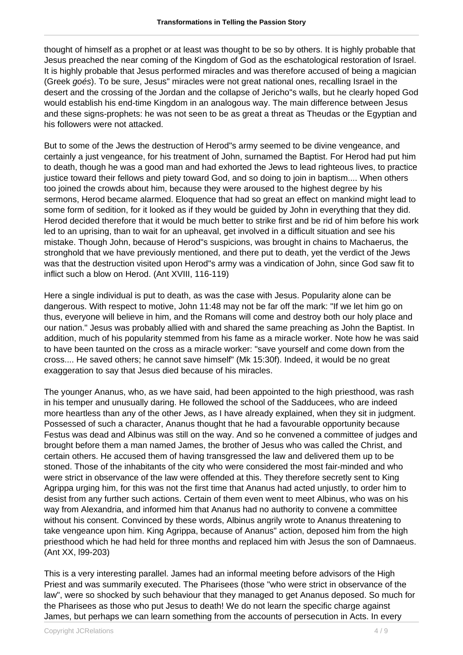thought of himself as a prophet or at least was thought to be so by others. It is highly probable that Jesus preached the near coming of the Kingdom of God as the eschatological restoration of Israel. It is highly probable that Jesus performed miracles and was therefore accused of being a magician (Greek goés). To be sure, Jesus" miracles were not great national ones, recalling Israel in the desert and the crossing of the Jordan and the collapse of Jericho"s walls, but he clearly hoped God would establish his end-time Kingdom in an analogous way. The main difference between Jesus and these signs-prophets: he was not seen to be as great a threat as Theudas or the Egyptian and his followers were not attacked.

But to some of the Jews the destruction of Herod"s army seemed to be divine vengeance, and certainly a just vengeance, for his treatment of John, surnamed the Baptist. For Herod had put him to death, though he was a good man and had exhorted the Jews to lead righteous lives, to practice justice toward their fellows and piety toward God, and so doing to join in baptism.... When others too joined the crowds about him, because they were aroused to the highest degree by his sermons, Herod became alarmed. Eloquence that had so great an effect on mankind might lead to some form of sedition, for it looked as if they would be guided by John in everything that they did. Herod decided therefore that it would be much better to strike first and be rid of him before his work led to an uprising, than to wait for an upheaval, get involved in a difficult situation and see his mistake. Though John, because of Herod"s suspicions, was brought in chains to Machaerus, the stronghold that we have previously mentioned, and there put to death, yet the verdict of the Jews was that the destruction visited upon Herod"s army was a vindication of John, since God saw fit to inflict such a blow on Herod. (Ant XVIII, 116-119)

Here a single individual is put to death, as was the case with Jesus. Popularity alone can be dangerous. With respect to motive, John 11:48 may not be far off the mark: "If we let him go on thus, everyone will believe in him, and the Romans will come and destroy both our holy place and our nation." Jesus was probably allied with and shared the same preaching as John the Baptist. In addition, much of his popularity stemmed from his fame as a miracle worker. Note how he was said to have been taunted on the cross as a miracle worker: "save yourself and come down from the cross.... He saved others; he cannot save himself" (Mk 15:30f). Indeed, it would be no great exaggeration to say that Jesus died because of his miracles.

The younger Ananus, who, as we have said, had been appointed to the high priesthood, was rash in his temper and unusually daring. He followed the school of the Sadducees, who are indeed more heartless than any of the other Jews, as I have already explained, when they sit in judgment. Possessed of such a character, Ananus thought that he had a favourable opportunity because Festus was dead and Albinus was still on the way. And so he convened a committee of judges and brought before them a man named James, the brother of Jesus who was called the Christ, and certain others. He accused them of having transgressed the law and delivered them up to be stoned. Those of the inhabitants of the city who were considered the most fair-minded and who were strict in observance of the law were offended at this. They therefore secretly sent to King Agrippa urging him, for this was not the first time that Ananus had acted unjustly, to order him to desist from any further such actions. Certain of them even went to meet Albinus, who was on his way from Alexandria, and informed him that Ananus had no authority to convene a committee without his consent. Convinced by these words, Albinus angrily wrote to Ananus threatening to take vengeance upon him. King Agrippa, because of Ananus" action, deposed him from the high priesthood which he had held for three months and replaced him with Jesus the son of Damnaeus. (Ant XX, l99-203)

This is a very interesting parallel. James had an informal meeting before advisors of the High Priest and was summarily executed. The Pharisees (those "who were strict in observance of the law", were so shocked by such behaviour that they managed to get Ananus deposed. So much for the Pharisees as those who put Jesus to death! We do not learn the specific charge against James, but perhaps we can learn something from the accounts of persecution in Acts. In every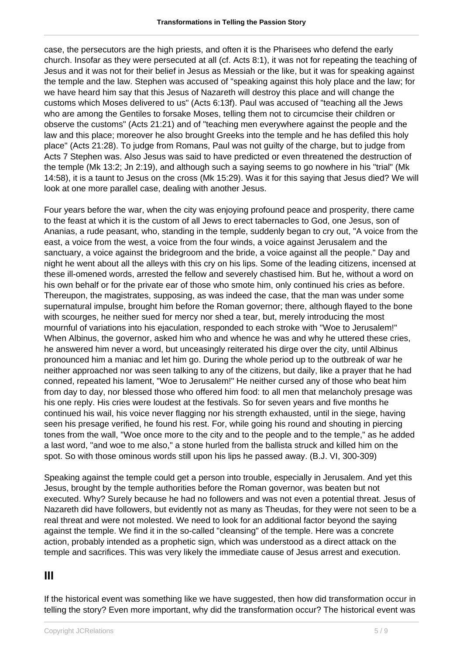case, the persecutors are the high priests, and often it is the Pharisees who defend the early church. Insofar as they were persecuted at all (cf. Acts 8:1), it was not for repeating the teaching of Jesus and it was not for their belief in Jesus as Messiah or the like, but it was for speaking against the temple and the law. Stephen was accused of "speaking against this holy place and the law; for we have heard him say that this Jesus of Nazareth will destroy this place and will change the customs which Moses delivered to us" (Acts 6:13f). Paul was accused of "teaching all the Jews who are among the Gentiles to forsake Moses, telling them not to circumcise their children or observe the customs" (Acts 21:21) and of "teaching men everywhere against the people and the law and this place; moreover he also brought Greeks into the temple and he has defiled this holy place" (Acts 21:28). To judge from Romans, Paul was not guilty of the charge, but to judge from Acts 7 Stephen was. Also Jesus was said to have predicted or even threatened the destruction of the temple (Mk 13:2; Jn 2:19), and although such a saying seems to go nowhere in his "trial" (Mk 14:58), it is a taunt to Jesus on the cross (Mk 15:29). Was it for this saying that Jesus died? We will look at one more parallel case, dealing with another Jesus.

Four years before the war, when the city was enjoying profound peace and prosperity, there came to the feast at which it is the custom of all Jews to erect tabernacles to God, one Jesus, son of Ananias, a rude peasant, who, standing in the temple, suddenly began to cry out, "A voice from the east, a voice from the west, a voice from the four winds, a voice against Jerusalem and the sanctuary, a voice against the bridegroom and the bride, a voice against all the people." Day and night he went about all the alleys with this cry on his lips. Some of the leading citizens, incensed at these ill-omened words, arrested the fellow and severely chastised him. But he, without a word on his own behalf or for the private ear of those who smote him, only continued his cries as before. Thereupon, the magistrates, supposing, as was indeed the case, that the man was under some supernatural impulse, brought him before the Roman governor; there, although flayed to the bone with scourges, he neither sued for mercy nor shed a tear, but, merely introducing the most mournful of variations into his ejaculation, responded to each stroke with "Woe to Jerusalem!" When Albinus, the governor, asked him who and whence he was and why he uttered these cries, he answered him never a word, but unceasingly reiterated his dirge over the city, until Albinus pronounced him a maniac and let him go. During the whole period up to the outbreak of war he neither approached nor was seen talking to any of the citizens, but daily, like a prayer that he had conned, repeated his lament, "Woe to Jerusalem!" He neither cursed any of those who beat him from day to day, nor blessed those who offered him food: to all men that melancholy presage was his one reply. His cries were loudest at the festivals. So for seven years and five months he continued his wail, his voice never flagging nor his strength exhausted, until in the siege, having seen his presage verified, he found his rest. For, while going his round and shouting in piercing tones from the wall, "Woe once more to the city and to the people and to the temple," as he added a last word, "and woe to me also," a stone hurled from the ballista struck and killed him on the spot. So with those ominous words still upon his lips he passed away. (B.J. VI, 300-309)

Speaking against the temple could get a person into trouble, especially in Jerusalem. And yet this Jesus, brought by the temple authorities before the Roman governor, was beaten but not executed. Why? Surely because he had no followers and was not even a potential threat. Jesus of Nazareth did have followers, but evidently not as many as Theudas, for they were not seen to be a real threat and were not molested. We need to look for an additional factor beyond the saying against the temple. We find it in the so-called "cleansing" of the temple. Here was a concrete action, probably intended as a prophetic sign, which was understood as a direct attack on the temple and sacrifices. This was very likely the immediate cause of Jesus arrest and execution.

## **III**

If the historical event was something like we have suggested, then how did transformation occur in telling the story? Even more important, why did the transformation occur? The historical event was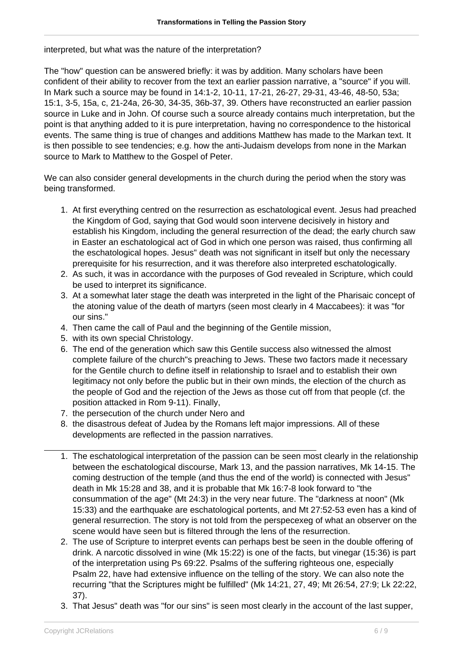interpreted, but what was the nature of the interpretation?

The "how" question can be answered briefly: it was by addition. Many scholars have been confident of their ability to recover from the text an earlier passion narrative, a "source" if you will. In Mark such a source may be found in 14:1-2, 10-11, 17-21, 26-27, 29-31, 43-46, 48-50, 53a; 15:1, 3-5, 15a, c, 21-24a, 26-30, 34-35, 36b-37, 39. Others have reconstructed an earlier passion source in Luke and in John. Of course such a source already contains much interpretation, but the point is that anything added to it is pure interpretation, having no correspondence to the historical events. The same thing is true of changes and additions Matthew has made to the Markan text. It is then possible to see tendencies; e.g. how the anti-Judaism develops from none in the Markan source to Mark to Matthew to the Gospel of Peter.

We can also consider general developments in the church during the period when the story was being transformed.

- 1. At first everything centred on the resurrection as eschatological event. Jesus had preached the Kingdom of God, saying that God would soon intervene decisively in history and establish his Kingdom, including the general resurrection of the dead; the early church saw in Easter an eschatological act of God in which one person was raised, thus confirming all the eschatological hopes. Jesus" death was not significant in itself but only the necessary prerequisite for his resurrection, and it was therefore also interpreted eschatologically.
- 2. As such, it was in accordance with the purposes of God revealed in Scripture, which could be used to interpret its significance.
- 3. At a somewhat later stage the death was interpreted in the light of the Pharisaic concept of the atoning value of the death of martyrs (seen most clearly in 4 Maccabees): it was "for our sins."
- 4. Then came the call of Paul and the beginning of the Gentile mission,
- 5. with its own special Christology.
- 6. The end of the generation which saw this Gentile success also witnessed the almost complete failure of the church"s preaching to Jews. These two factors made it necessary for the Gentile church to define itself in relationship to Israel and to establish their own legitimacy not only before the public but in their own minds, the election of the church as the people of God and the rejection of the Jews as those cut off from that people (cf. the position attacked in Rom 9-11). Finally,
- 7. the persecution of the church under Nero and
- 8. the disastrous defeat of Judea by the Romans left major impressions. All of these developments are reflected in the passion narratives.
- 1. The eschatological interpretation of the passion can be seen most clearly in the relationship between the eschatological discourse, Mark 13, and the passion narratives, Mk 14-15. The coming destruction of the temple (and thus the end of the world) is connected with Jesus" death in Mk 15:28 and 38, and it is probable that Mk 16:7-8 look forward to "the consummation of the age" (Mt 24:3) in the very near future. The "darkness at noon" (Mk 15:33) and the earthquake are eschatological portents, and Mt 27:52-53 even has a kind of general resurrection. The story is not told from the perspecexeg of what an observer on the scene would have seen but is filtered through the lens of the resurrection.
- 2. The use of Scripture to interpret events can perhaps best be seen in the double offering of drink. A narcotic dissolved in wine (Mk 15:22) is one of the facts, but vinegar (15:36) is part of the interpretation using Ps 69:22. Psalms of the suffering righteous one, especially Psalm 22, have had extensive influence on the telling of the story. We can also note the recurring "that the Scriptures might be fulfilled" (Mk 14:21, 27, 49; Mt 26:54, 27:9; Lk 22:22, 37).
- 3. That Jesus" death was "for our sins" is seen most clearly in the account of the last supper,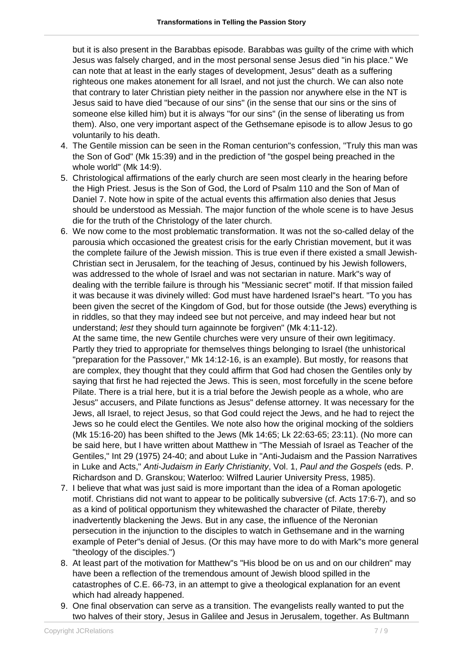but it is also present in the Barabbas episode. Barabbas was guilty of the crime with which Jesus was falsely charged, and in the most personal sense Jesus died "in his place." We can note that at least in the early stages of development, Jesus" death as a suffering righteous one makes atonement for all Israel, and not just the church. We can also note that contrary to later Christian piety neither in the passion nor anywhere else in the NT is Jesus said to have died "because of our sins" (in the sense that our sins or the sins of someone else killed him) but it is always "for our sins" (in the sense of liberating us from them). Also, one very important aspect of the Gethsemane episode is to allow Jesus to go voluntarily to his death.

- 4. The Gentile mission can be seen in the Roman centurion"s confession, "Truly this man was the Son of God" (Mk 15:39) and in the prediction of "the gospel being preached in the whole world" (Mk 14:9).
- 5. Christological affirmations of the early church are seen most clearly in the hearing before the High Priest. Jesus is the Son of God, the Lord of Psalm 110 and the Son of Man of Daniel 7. Note how in spite of the actual events this affirmation also denies that Jesus should be understood as Messiah. The major function of the whole scene is to have Jesus die for the truth of the Christology of the later church.
- 6. We now come to the most problematic transformation. It was not the so-called delay of the parousia which occasioned the greatest crisis for the early Christian movement, but it was the complete failure of the Jewish mission. This is true even if there existed a small Jewish-Christian sect in Jerusalem, for the teaching of Jesus, continued by his Jewish followers, was addressed to the whole of Israel and was not sectarian in nature. Mark"s way of dealing with the terrible failure is through his "Messianic secret" motif. If that mission failed it was because it was divinely willed: God must have hardened Israel"s heart. "To you has been given the secret of the Kingdom of God, but for those outside (the Jews) everything is in riddles, so that they may indeed see but not perceive, and may indeed hear but not understand; lest they should turn againnote be forgiven" (Mk 4:11-12).

At the same time, the new Gentile churches were very unsure of their own legitimacy. Partly they tried to appropriate for themselves things belonging to Israel (the unhistorical "preparation for the Passover," Mk 14:12-16, is an example). But mostly, for reasons that are complex, they thought that they could affirm that God had chosen the Gentiles only by saying that first he had rejected the Jews. This is seen, most forcefully in the scene before Pilate. There is a trial here, but it is a trial before the Jewish people as a whole, who are Jesus" accusers, and Pilate functions as Jesus" defense attorney. It was necessary for the Jews, all Israel, to reject Jesus, so that God could reject the Jews, and he had to reject the Jews so he could elect the Gentiles. We note also how the original mocking of the soldiers (Mk 15:16-20) has been shifted to the Jews (Mk 14:65; Lk 22:63-65; 23:11). (No more can be said here, but I have written about Matthew in "The Messiah of Israel as Teacher of the Gentiles," Int 29 (1975) 24-40; and about Luke in "Anti-Judaism and the Passion Narratives in Luke and Acts," Anti-Judaism in Early Christianity, Vol. 1, Paul and the Gospels (eds. P. Richardson and D. Granskou; Waterloo: Wilfred Laurier University Press, 1985).

- 7. I believe that what was just said is more important than the idea of a Roman apologetic motif. Christians did not want to appear to be politically subversive (cf. Acts 17:6-7), and so as a kind of political opportunism they whitewashed the character of Pilate, thereby inadvertently blackening the Jews. But in any case, the influence of the Neronian persecution in the injunction to the disciples to watch in Gethsemane and in the warning example of Peter"s denial of Jesus. (Or this may have more to do with Mark"s more general "theology of the disciples.")
- 8. At least part of the motivation for Matthew"s "His blood be on us and on our children" may have been a reflection of the tremendous amount of Jewish blood spilled in the catastrophes of C.E. 66-73, in an attempt to give a theological explanation for an event which had already happened.
- 9. One final observation can serve as a transition. The evangelists really wanted to put the two halves of their story, Jesus in Galilee and Jesus in Jerusalem, together. As Bultmann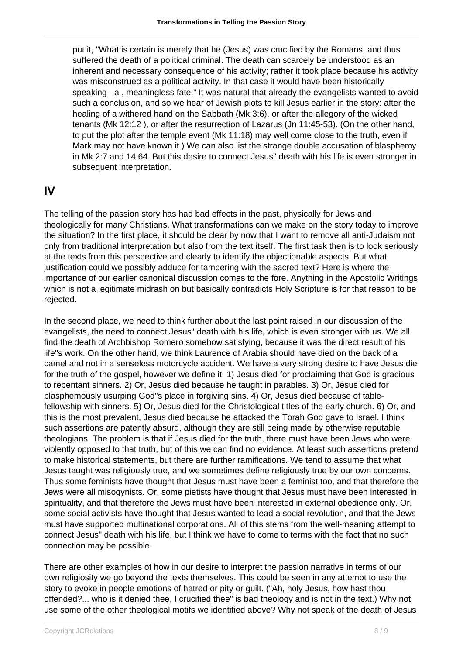put it, "What is certain is merely that he (Jesus) was crucified by the Romans, and thus suffered the death of a political criminal. The death can scarcely be understood as an inherent and necessary consequence of his activity; rather it took place because his activity was misconstrued as a political activity. In that case it would have been historically speaking - a , meaningless fate." It was natural that already the evangelists wanted to avoid such a conclusion, and so we hear of Jewish plots to kill Jesus earlier in the story: after the healing of a withered hand on the Sabbath (Mk 3:6), or after the allegory of the wicked tenants (Mk 12:12 ), or after the resurrection of Lazarus (Jn 11:45-53). (On the other hand, to put the plot after the temple event (Mk 11:18) may well come close to the truth, even if Mark may not have known it.) We can also list the strange double accusation of blasphemy in Mk 2:7 and 14:64. But this desire to connect Jesus" death with his life is even stronger in subsequent interpretation.

## **IV**

The telling of the passion story has had bad effects in the past, physically for Jews and theologically for many Christians. What transformations can we make on the story today to improve the situation? In the first place, it should be clear by now that I want to remove all anti-Judaism not only from traditional interpretation but also from the text itself. The first task then is to look seriously at the texts from this perspective and clearly to identify the objectionable aspects. But what justification could we possibly adduce for tampering with the sacred text? Here is where the importance of our earlier canonical discussion comes to the fore. Anything in the Apostolic Writings which is not a legitimate midrash on but basically contradicts Holy Scripture is for that reason to be rejected.

In the second place, we need to think further about the last point raised in our discussion of the evangelists, the need to connect Jesus" death with his life, which is even stronger with us. We all find the death of Archbishop Romero somehow satisfying, because it was the direct result of his life"s work. On the other hand, we think Laurence of Arabia should have died on the back of a camel and not in a senseless motorcycle accident. We have a very strong desire to have Jesus die for the truth of the gospel, however we define it. 1) Jesus died for proclaiming that God is gracious to repentant sinners. 2) Or, Jesus died because he taught in parables. 3) Or, Jesus died for blasphemously usurping God"s place in forgiving sins. 4) Or, Jesus died because of tablefellowship with sinners. 5) Or, Jesus died for the Christological titles of the early church. 6) Or, and this is the most prevalent, Jesus died because he attacked the Torah God gave to Israel. I think such assertions are patently absurd, although they are still being made by otherwise reputable theologians. The problem is that if Jesus died for the truth, there must have been Jews who were violently opposed to that truth, but of this we can find no evidence. At least such assertions pretend to make historical statements, but there are further ramifications. We tend to assume that what Jesus taught was religiously true, and we sometimes define religiously true by our own concerns. Thus some feminists have thought that Jesus must have been a feminist too, and that therefore the Jews were all misogynists. Or, some pietists have thought that Jesus must have been interested in spirituality, and that therefore the Jews must have been interested in external obedience only. Or, some social activists have thought that Jesus wanted to lead a social revolution, and that the Jews must have supported multinational corporations. All of this stems from the well-meaning attempt to connect Jesus" death with his life, but I think we have to come to terms with the fact that no such connection may be possible.

There are other examples of how in our desire to interpret the passion narrative in terms of our own religiosity we go beyond the texts themselves. This could be seen in any attempt to use the story to evoke in people emotions of hatred or pity or guilt. ("Ah, holy Jesus, how hast thou offended?... who is it denied thee, I crucified thee" is bad theology and is not in the text.) Why not use some of the other theological motifs we identified above? Why not speak of the death of Jesus